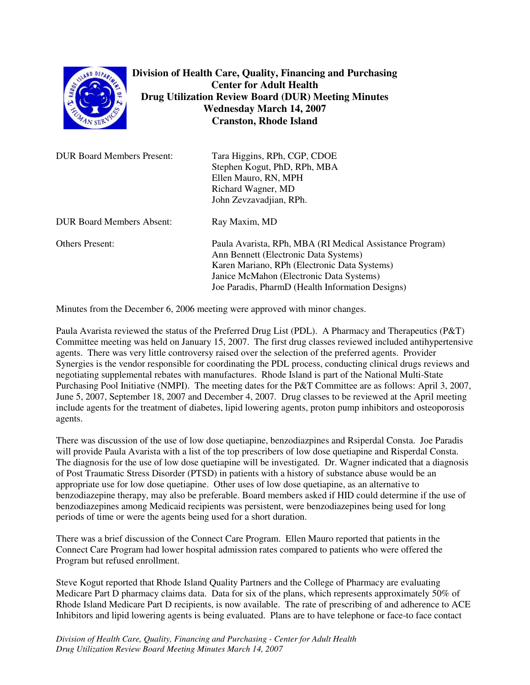

**Division of Health Care, Quality, Financing and Purchasing Center for Adult Health Drug Utilization Review Board (DUR) Meeting Minutes Wednesday March 14, 2007 Cranston, Rhode Island**

| <b>DUR Board Members Present:</b> | Tara Higgins, RPh, CGP, CDOE<br>Stephen Kogut, PhD, RPh, MBA<br>Ellen Mauro, RN, MPH<br>Richard Wagner, MD<br>John Zevzavadjian, RPh.                                                                                                             |
|-----------------------------------|---------------------------------------------------------------------------------------------------------------------------------------------------------------------------------------------------------------------------------------------------|
| <b>DUR Board Members Absent:</b>  | Ray Maxim, MD                                                                                                                                                                                                                                     |
| <b>Others Present:</b>            | Paula Avarista, RPh, MBA (RI Medical Assistance Program)<br>Ann Bennett (Electronic Data Systems)<br>Karen Mariano, RPh (Electronic Data Systems)<br>Janice McMahon (Electronic Data Systems)<br>Joe Paradis, PharmD (Health Information Designs) |

Minutes from the December 6, 2006 meeting were approved with minor changes.

Paula Avarista reviewed the status of the Preferred Drug List (PDL). A Pharmacy and Therapeutics (P&T) Committee meeting was held on January 15, 2007. The first drug classes reviewed included antihypertensive agents. There was very little controversy raised over the selection of the preferred agents. Provider Synergies is the vendor responsible for coordinating the PDL process, conducting clinical drugs reviews and negotiating supplemental rebates with manufactures. Rhode Island is part of the National Multi-State Purchasing Pool Initiative (NMPI). The meeting dates for the P&T Committee are as follows: April 3, 2007, June 5, 2007, September 18, 2007 and December 4, 2007. Drug classes to be reviewed at the April meeting include agents for the treatment of diabetes, lipid lowering agents, proton pump inhibitors and osteoporosis agents.

There was discussion of the use of low dose quetiapine, benzodiazpines and Rsiperdal Consta. Joe Paradis will provide Paula Avarista with a list of the top prescribers of low dose quetiapine and Risperdal Consta. The diagnosis for the use of low dose quetiapine will be investigated. Dr. Wagner indicated that a diagnosis of Post Traumatic Stress Disorder (PTSD) in patients with a history of substance abuse would be an appropriate use for low dose quetiapine. Other uses of low dose quetiapine, as an alternative to benzodiazepine therapy, may also be preferable. Board members asked if HID could determine if the use of benzodiazepines among Medicaid recipients was persistent, were benzodiazepines being used for long periods of time or were the agents being used for a short duration.

There was a brief discussion of the Connect Care Program. Ellen Mauro reported that patients in the Connect Care Program had lower hospital admission rates compared to patients who were offered the Program but refused enrollment.

Steve Kogut reported that Rhode Island Quality Partners and the College of Pharmacy are evaluating Medicare Part D pharmacy claims data. Data for six of the plans, which represents approximately 50% of Rhode Island Medicare Part D recipients, is now available. The rate of prescribing of and adherence to ACE Inhibitors and lipid lowering agents is being evaluated. Plans are to have telephone or face-to face contact